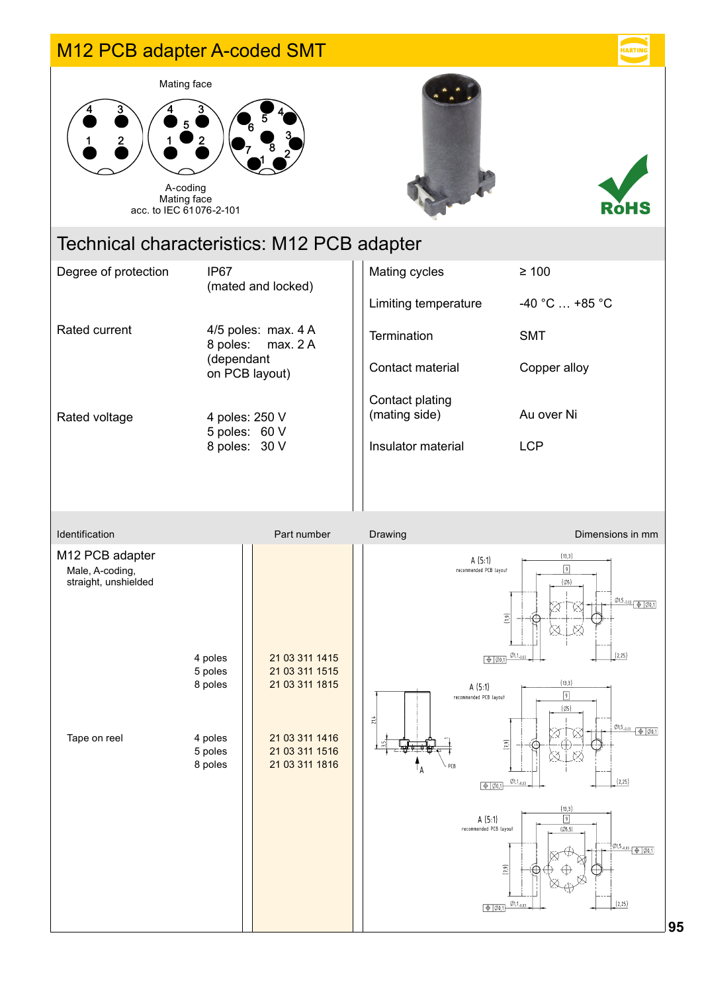## M12 PCB adapter A-coded SMT



Mating face acc. to IEC 61076-2-101





## Technical characteristics: M12 PCB adapter

| Degree of protection | IP <sub>67</sub><br>(mated and locked)      | Mating cycles                    | $\geq 100$         |
|----------------------|---------------------------------------------|----------------------------------|--------------------|
|                      |                                             | Limiting temperature             | $-40$ °C $$ +85 °C |
| Rated current        | 4/5 poles: max. 4 A<br>8 poles:<br>max. 2 A | <b>Termination</b>               | <b>SMT</b>         |
|                      | (dependant<br>on PCB layout)                | Contact material                 | Copper alloy       |
| Rated voltage        | 4 poles: 250 V<br>5 poles: 60 V             | Contact plating<br>(mating side) | Au over Ni         |
|                      | 8 poles: 30 V                               | Insulator material               | <b>LCP</b>         |
|                      |                                             |                                  |                    |

| Identification                                             |                                                     | Part number                                                                            | Drawing                                                                    | Dimensions in mm                                                                                                                                                                       |
|------------------------------------------------------------|-----------------------------------------------------|----------------------------------------------------------------------------------------|----------------------------------------------------------------------------|----------------------------------------------------------------------------------------------------------------------------------------------------------------------------------------|
| M12 PCB adapter<br>Male, A-coding,<br>straight, unshielded |                                                     |                                                                                        | A(5:1)<br>recommended PCB layout                                           | (13,3)<br>冋<br>(25)<br>$\frac{\varphi_{1,5}}{\varphi_{1,00}}$ $\frac{\varphi_{0,1}}{\varphi_{0,1}}$<br>X<br>Q.<br>$\begin{array}{c} (1,9) \\ \square \end{array}$<br><br>⋉             |
|                                                            | 4 poles                                             | 21 03 311 1415                                                                         | $\boxed{+ 20,1}$                                                           | (2.25)<br>$Q1,1_{-0,03}$                                                                                                                                                               |
| Tape on reel                                               | 5 poles<br>8 poles<br>4 poles<br>5 poles<br>8 poles | 21 03 311 1515<br>21 03 311 1815<br>21 03 311 1416<br>21 03 311 1516<br>21 03 311 1816 | A $(5:1)$<br>recommended PCB layout<br>21.4<br>$\frac{15}{25}$<br>PCB<br>Δ | (13, 3)<br>冋<br>$(\emptyset$ s)<br>$\frac{\varnothing1,5_{-0,03}}{\varnothing}$ $\frac{\varnothing}{\varnothing}$ $\varnothing$<br>Δ.<br>$\begin{array}{c} \boxed{1,9} \\ \end{array}$ |
|                                                            |                                                     |                                                                                        | $\phi$ $\phi$ 0.1                                                          | $\frac{\phi_{1,1}}{\phi_{1,0,03}}$<br>(2,25)                                                                                                                                           |
|                                                            |                                                     |                                                                                        | A(5:1)<br>recommended PCB layout<br>$\Theta$ $\emptyset$ 0,1               | (13,3)<br>$\boxed{9}$<br>(0/5, 5)<br>$\frac{1}{2}$ $\emptyset$ 1,5 <sub>-0,03</sub> $\bigoplus$ $\emptyset$ 0,1<br>$[7,9]$<br>$\varnothing$ 1,1 <sub>-0,03</sub><br>(2, 25)            |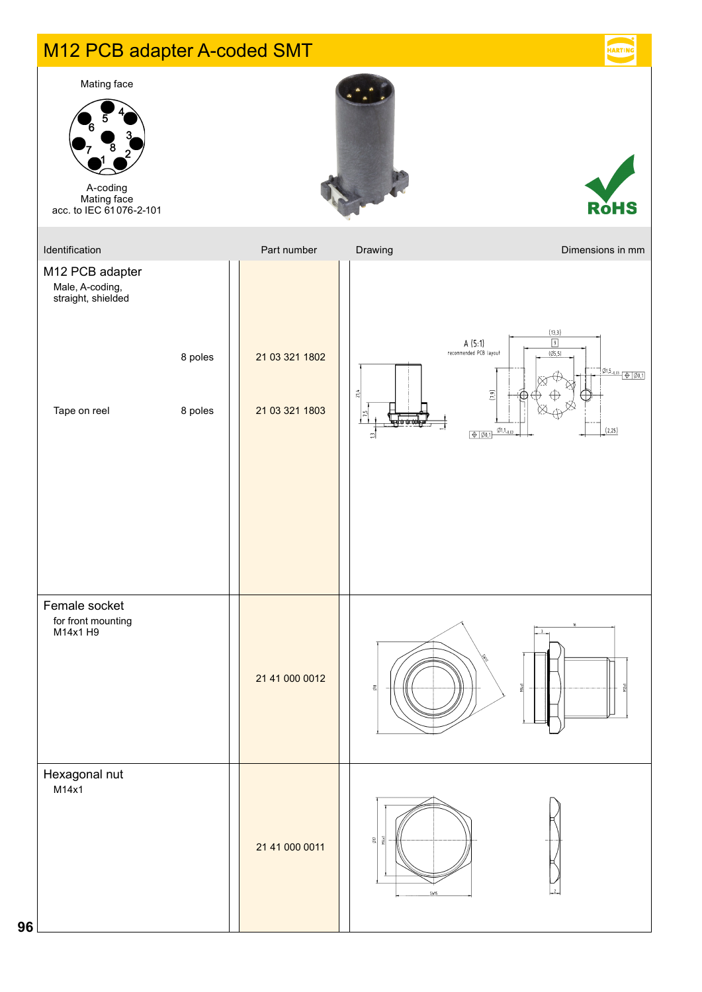# M12 PCB adapter A-coded SMT

Mating face



A-coding Mating face acc. to IEC 61076-2-101





HARTING

| Identification                                                           |                    | Part number                      | Dimensions in mm<br>Drawing                                                                                                                                                                                                                                                               |
|--------------------------------------------------------------------------|--------------------|----------------------------------|-------------------------------------------------------------------------------------------------------------------------------------------------------------------------------------------------------------------------------------------------------------------------------------------|
| M12 PCB adapter<br>Male, A-coding,<br>straight, shielded<br>Tape on reel | 8 poles<br>8 poles | 21 03 321 1802<br>21 03 321 1803 | (13,3)<br>$\boxed{9}$<br>A(5:1)<br>recommended PCB layout<br>(0, 5)<br>$\frac{1}{\sqrt{01.5}}$ <sub>-0,03</sub> $\frac{1}{\sqrt{00}}$ 0,1<br>214<br>$\begin{array}{c} \boxed{2} \end{array}$<br>n,<br>(2, 25)<br>$\varnothing$ 1, 1 <sub>-0,03</sub><br>$\phi$ $\phi$ <sub>0,1</sub><br>n |
| Female socket<br>for front mounting<br>M14x1 H9                          |                    | 21 41 000 0012                   | $\frac{1}{2}$<br>ě<br>黑                                                                                                                                                                                                                                                                   |
| Hexagonal nut<br>M14x1                                                   |                    | 21 41 000 0011                   | 회회<br><b>SW19</b>                                                                                                                                                                                                                                                                         |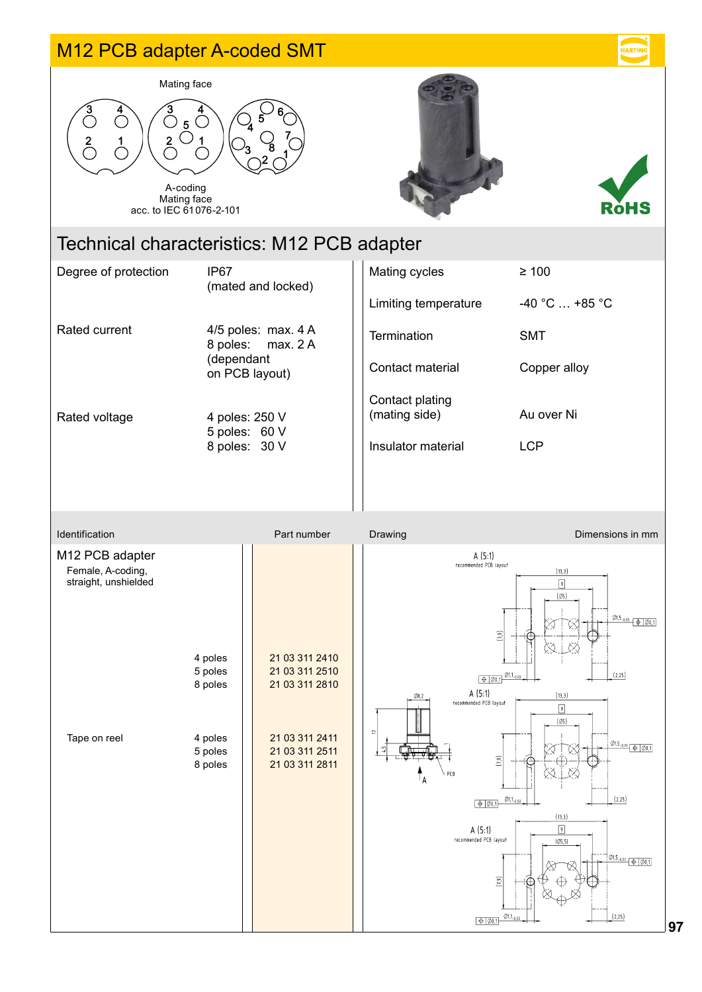### M12 PCB adapter A-coded SMT



A-coding Mating face acc. to IEC 61076-2-101

# Technical characteristics: M12 PCB adapter

| Degree of protection | IP <sub>67</sub><br>(mated and locked)                                   | Mating cycles                    | $\geq 100$      |
|----------------------|--------------------------------------------------------------------------|----------------------------------|-----------------|
|                      |                                                                          | Limiting temperature             | $-40 °C$ +85 °C |
| Rated current        | 4/5 poles: max. 4 A<br>8 poles: max. 2 A<br>(dependant<br>on PCB layout) | Termination                      | <b>SMT</b>      |
|                      |                                                                          | Contact material                 | Copper alloy    |
| Rated voltage        | 4 poles: 250 V<br>5 poles: 60 V<br>8 poles: 30 V                         | Contact plating<br>(mating side) | Au over Ni      |
|                      |                                                                          | Insulator material               | <b>LCP</b>      |
|                      |                                                                          |                                  |                 |



òHS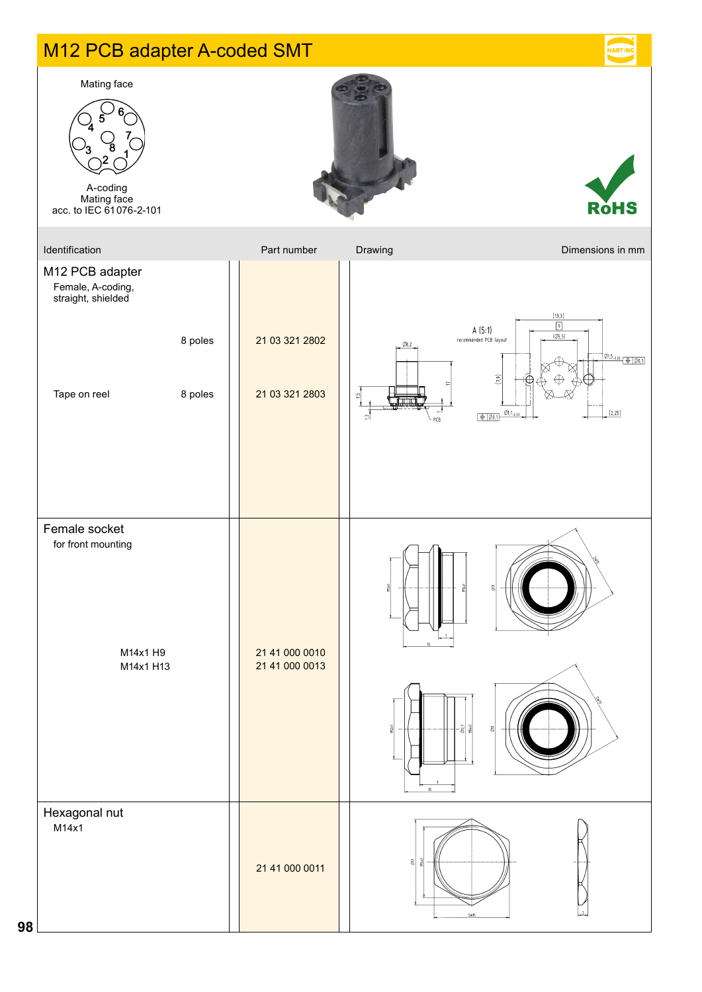### M12 PCB adapter A-coded SMT Mating face A-coding Mating face RòHS acc. to IEC 61076-2-101Identification **Part number** Drawing Dimensions in mm M12 PCB adapter Female, A-coding, straight, shielded  $(13, 3)$  $\boxed{9}$ A  $(5:1)$  $-105.5$  8 poles 21 03 321 2802 recommended PCB layout  $\frac{\phi_{1,5}}{\phi_{1,00}}$   $\frac{\phi_{1,00,1}}{\phi_{1,00,1}}$  $[1, 9]$ 21 03 321 2803 Tape on reel 8 poles  $\frac{Q_{1,1}}{Q_{2,1}}$  $(2, 25)$ pre Female socket for front mounting M14x1 H9 21 41 000 0010 M14x1 H13 21 41 000 0013 Hexagonal nut M14x1 21 41 000 0011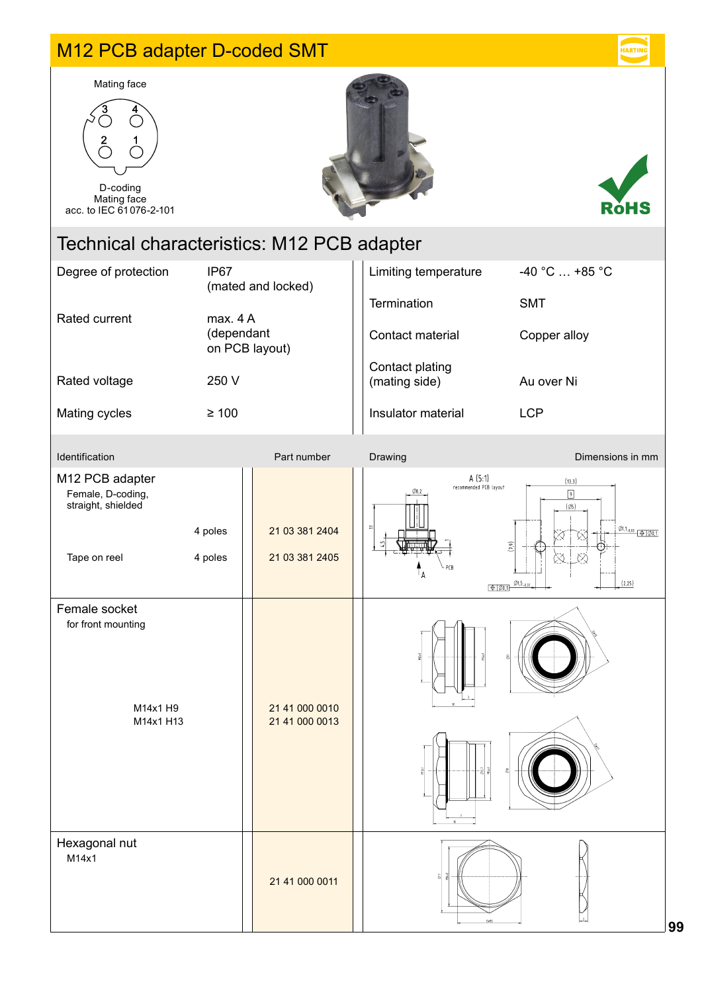#### M12 PCB adapter D-coded SMT